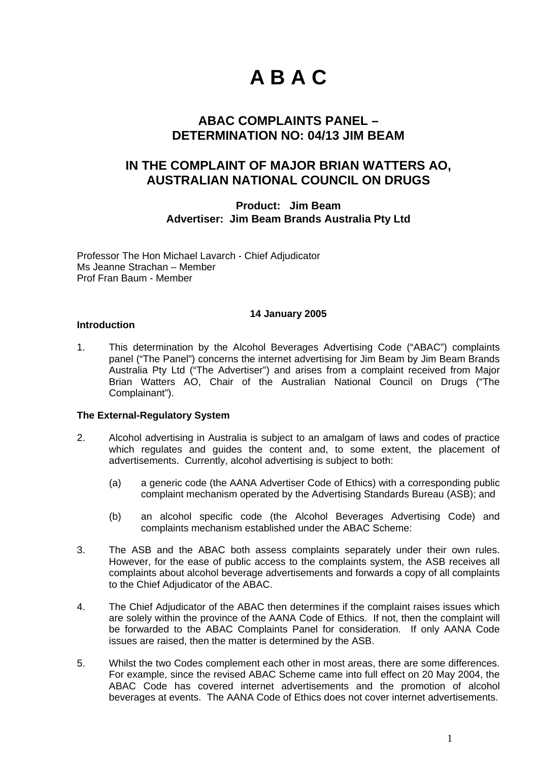# **A B A C**

### **ABAC COMPLAINTS PANEL – DETERMINATION NO: 04/13 JIM BEAM**

## **IN THE COMPLAINT OF MAJOR BRIAN WATTERS AO, AUSTRALIAN NATIONAL COUNCIL ON DRUGS**

**Product: Jim Beam Advertiser: Jim Beam Brands Australia Pty Ltd** 

Professor The Hon Michael Lavarch - Chief Adjudicator Ms Jeanne Strachan – Member Prof Fran Baum - Member

#### **14 January 2005**

#### **Introduction**

1. This determination by the Alcohol Beverages Advertising Code ("ABAC") complaints panel ("The Panel") concerns the internet advertising for Jim Beam by Jim Beam Brands Australia Pty Ltd ("The Advertiser") and arises from a complaint received from Major Brian Watters AO, Chair of the Australian National Council on Drugs ("The Complainant").

#### **The External-Regulatory System**

- 2. Alcohol advertising in Australia is subject to an amalgam of laws and codes of practice which regulates and guides the content and, to some extent, the placement of advertisements. Currently, alcohol advertising is subject to both:
	- (a) a generic code (the AANA Advertiser Code of Ethics) with a corresponding public complaint mechanism operated by the Advertising Standards Bureau (ASB); and
	- (b) an alcohol specific code (the Alcohol Beverages Advertising Code) and complaints mechanism established under the ABAC Scheme:
- 3. The ASB and the ABAC both assess complaints separately under their own rules. However, for the ease of public access to the complaints system, the ASB receives all complaints about alcohol beverage advertisements and forwards a copy of all complaints to the Chief Adjudicator of the ABAC.
- 4. The Chief Adjudicator of the ABAC then determines if the complaint raises issues which are solely within the province of the AANA Code of Ethics. If not, then the complaint will be forwarded to the ABAC Complaints Panel for consideration. If only AANA Code issues are raised, then the matter is determined by the ASB.
- 5. Whilst the two Codes complement each other in most areas, there are some differences. For example, since the revised ABAC Scheme came into full effect on 20 May 2004, the ABAC Code has covered internet advertisements and the promotion of alcohol beverages at events. The AANA Code of Ethics does not cover internet advertisements.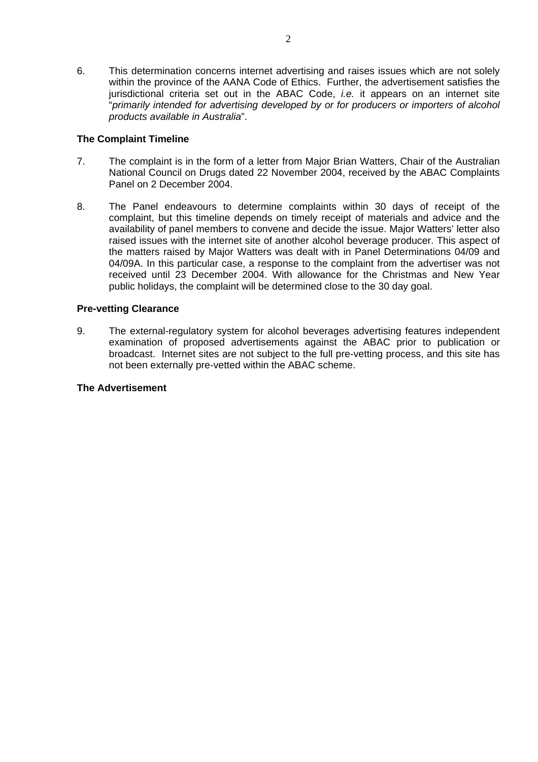6. This determination concerns internet advertising and raises issues which are not solely within the province of the AANA Code of Ethics. Further, the advertisement satisfies the jurisdictional criteria set out in the ABAC Code, *i.e.* it appears on an internet site "*primarily intended for advertising developed by or for producers or importers of alcohol products available in Australia*".

#### **The Complaint Timeline**

- 7. The complaint is in the form of a letter from Major Brian Watters, Chair of the Australian National Council on Drugs dated 22 November 2004, received by the ABAC Complaints Panel on 2 December 2004.
- 8. The Panel endeavours to determine complaints within 30 days of receipt of the complaint, but this timeline depends on timely receipt of materials and advice and the availability of panel members to convene and decide the issue. Major Watters' letter also raised issues with the internet site of another alcohol beverage producer. This aspect of the matters raised by Major Watters was dealt with in Panel Determinations 04/09 and 04/09A. In this particular case, a response to the complaint from the advertiser was not received until 23 December 2004. With allowance for the Christmas and New Year public holidays, the complaint will be determined close to the 30 day goal.

#### **Pre-vetting Clearance**

9. The external-regulatory system for alcohol beverages advertising features independent examination of proposed advertisements against the ABAC prior to publication or broadcast. Internet sites are not subject to the full pre-vetting process, and this site has not been externally pre-vetted within the ABAC scheme.

#### **The Advertisement**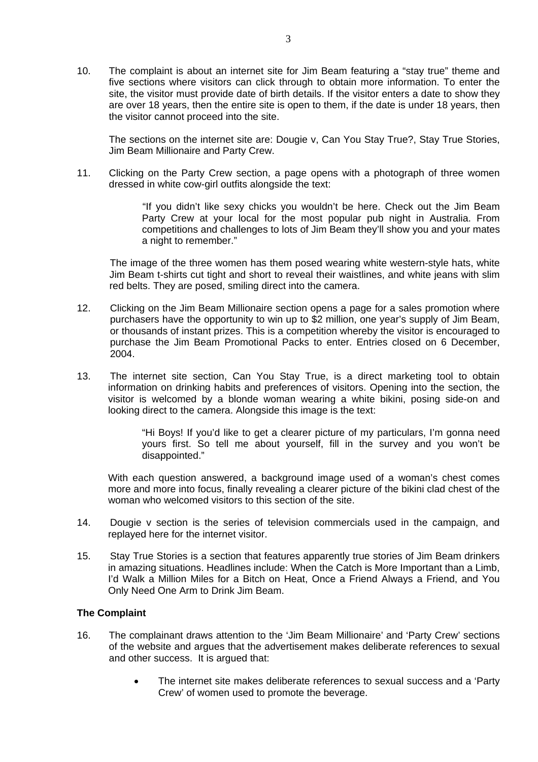10. The complaint is about an internet site for Jim Beam featuring a "stay true" theme and five sections where visitors can click through to obtain more information. To enter the site, the visitor must provide date of birth details. If the visitor enters a date to show they are over 18 years, then the entire site is open to them, if the date is under 18 years, then the visitor cannot proceed into the site.

The sections on the internet site are: Dougie v, Can You Stay True?, Stay True Stories, Jim Beam Millionaire and Party Crew.

11. Clicking on the Party Crew section, a page opens with a photograph of three women dressed in white cow-girl outfits alongside the text:

> "If you didn't like sexy chicks you wouldn't be here. Check out the Jim Beam Party Crew at your local for the most popular pub night in Australia. From competitions and challenges to lots of Jim Beam they'll show you and your mates a night to remember."

The image of the three women has them posed wearing white western-style hats, white Jim Beam t-shirts cut tight and short to reveal their waistlines, and white jeans with slim red belts. They are posed, smiling direct into the camera.

- 12. Clicking on the Jim Beam Millionaire section opens a page for a sales promotion where purchasers have the opportunity to win up to \$2 million, one year's supply of Jim Beam, or thousands of instant prizes. This is a competition whereby the visitor is encouraged to purchase the Jim Beam Promotional Packs to enter. Entries closed on 6 December, 2004.
- 13. The internet site section, Can You Stay True, is a direct marketing tool to obtain information on drinking habits and preferences of visitors. Opening into the section, the visitor is welcomed by a blonde woman wearing a white bikini, posing side-on and looking direct to the camera. Alongside this image is the text:

"Hi Boys! If you'd like to get a clearer picture of my particulars, I'm gonna need yours first. So tell me about yourself, fill in the survey and you won't be disappointed."

With each question answered, a background image used of a woman's chest comes more and more into focus, finally revealing a clearer picture of the bikini clad chest of the woman who welcomed visitors to this section of the site.

- 14. Dougie v section is the series of television commercials used in the campaign, and replayed here for the internet visitor.
- 15. Stay True Stories is a section that features apparently true stories of Jim Beam drinkers in amazing situations. Headlines include: When the Catch is More Important than a Limb, I'd Walk a Million Miles for a Bitch on Heat, Once a Friend Always a Friend, and You Only Need One Arm to Drink Jim Beam.

#### **The Complaint**

- 16. The complainant draws attention to the 'Jim Beam Millionaire' and 'Party Crew' sections of the website and argues that the advertisement makes deliberate references to sexual and other success. It is argued that:
	- The internet site makes deliberate references to sexual success and a 'Party Crew' of women used to promote the beverage.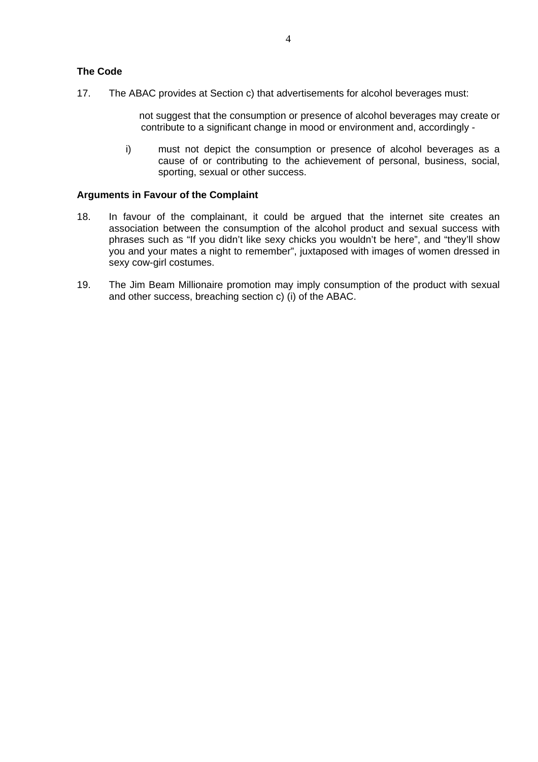#### **The Code**

17. The ABAC provides at Section c) that advertisements for alcohol beverages must:

not suggest that the consumption or presence of alcohol beverages may create or contribute to a significant change in mood or environment and, accordingly -

i) must not depict the consumption or presence of alcohol beverages as a cause of or contributing to the achievement of personal, business, social, sporting, sexual or other success.

#### **Arguments in Favour of the Complaint**

- 18. In favour of the complainant, it could be argued that the internet site creates an association between the consumption of the alcohol product and sexual success with phrases such as "If you didn't like sexy chicks you wouldn't be here", and "they'll show you and your mates a night to remember", juxtaposed with images of women dressed in sexy cow-girl costumes.
- 19. The Jim Beam Millionaire promotion may imply consumption of the product with sexual and other success, breaching section c) (i) of the ABAC.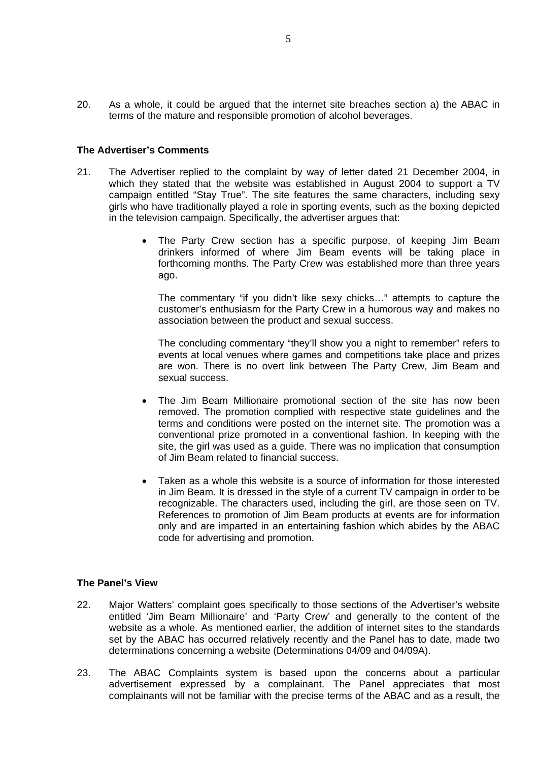20. As a whole, it could be argued that the internet site breaches section a) the ABAC in terms of the mature and responsible promotion of alcohol beverages.

#### **The Advertiser's Comments**

- 21. The Advertiser replied to the complaint by way of letter dated 21 December 2004, in which they stated that the website was established in August 2004 to support a TV campaign entitled "Stay True". The site features the same characters, including sexy girls who have traditionally played a role in sporting events, such as the boxing depicted in the television campaign. Specifically, the advertiser argues that:
	- The Party Crew section has a specific purpose, of keeping Jim Beam drinkers informed of where Jim Beam events will be taking place in forthcoming months. The Party Crew was established more than three years ago.

The commentary "if you didn't like sexy chicks…" attempts to capture the customer's enthusiasm for the Party Crew in a humorous way and makes no association between the product and sexual success.

The concluding commentary "they'll show you a night to remember" refers to events at local venues where games and competitions take place and prizes are won. There is no overt link between The Party Crew, Jim Beam and sexual success.

- The Jim Beam Millionaire promotional section of the site has now been removed. The promotion complied with respective state guidelines and the terms and conditions were posted on the internet site. The promotion was a conventional prize promoted in a conventional fashion. In keeping with the site, the girl was used as a guide. There was no implication that consumption of Jim Beam related to financial success.
- Taken as a whole this website is a source of information for those interested in Jim Beam. It is dressed in the style of a current TV campaign in order to be recognizable. The characters used, including the girl, are those seen on TV. References to promotion of Jim Beam products at events are for information only and are imparted in an entertaining fashion which abides by the ABAC code for advertising and promotion.

#### **The Panel's View**

- 22. Major Watters' complaint goes specifically to those sections of the Advertiser's website entitled 'Jim Beam Millionaire' and 'Party Crew' and generally to the content of the website as a whole. As mentioned earlier, the addition of internet sites to the standards set by the ABAC has occurred relatively recently and the Panel has to date, made two determinations concerning a website (Determinations 04/09 and 04/09A).
- 23. The ABAC Complaints system is based upon the concerns about a particular advertisement expressed by a complainant. The Panel appreciates that most complainants will not be familiar with the precise terms of the ABAC and as a result, the